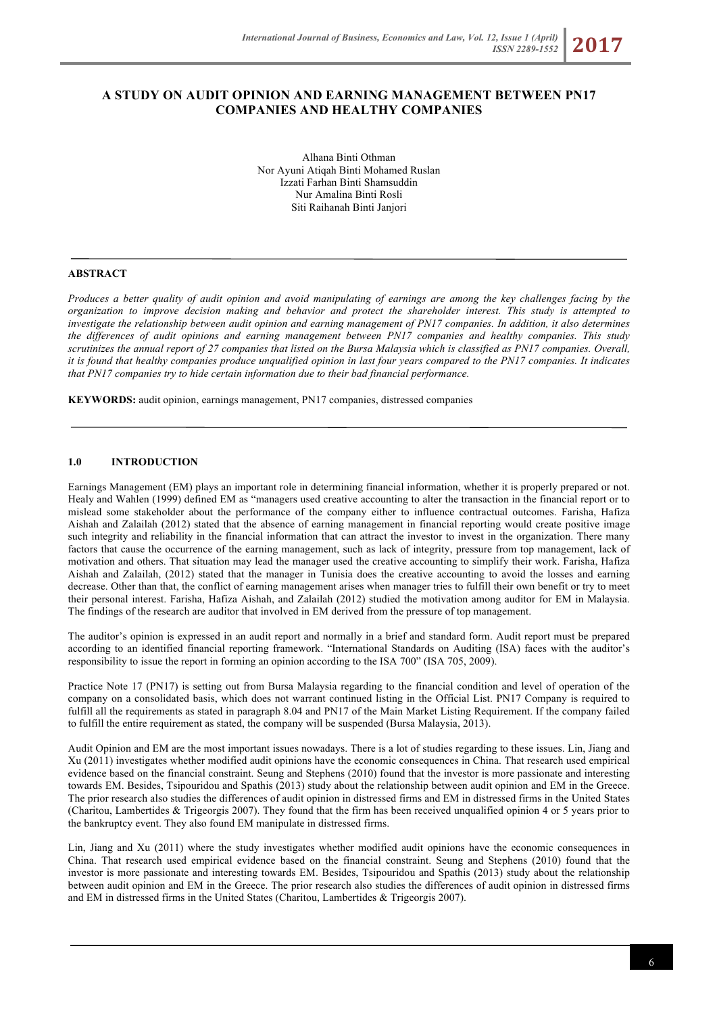# **A STUDY ON AUDIT OPINION AND EARNING MANAGEMENT BETWEEN PN17 COMPANIES AND HEALTHY COMPANIES**

Alhana Binti Othman Nor Ayuni Atiqah Binti Mohamed Ruslan Izzati Farhan Binti Shamsuddin Nur Amalina Binti Rosli Siti Raihanah Binti Janjori

### **ABSTRACT**

*Produces a better quality of audit opinion and avoid manipulating of earnings are among the key challenges facing by the organization to improve decision making and behavior and protect the shareholder interest. This study is attempted to investigate the relationship between audit opinion and earning management of PN17 companies. In addition, it also determines the differences of audit opinions and earning management between PN17 companies and healthy companies. This study scrutinizes the annual report of 27 companies that listed on the Bursa Malaysia which is classified as PN17 companies. Overall, it is found that healthy companies produce unqualified opinion in last four years compared to the PN17 companies. It indicates that PN17 companies try to hide certain information due to their bad financial performance.* 

**KEYWORDS:** audit opinion, earnings management, PN17 companies, distressed companies

#### **1.0 INTRODUCTION**

Earnings Management (EM) plays an important role in determining financial information, whether it is properly prepared or not. Healy and Wahlen (1999) defined EM as "managers used creative accounting to alter the transaction in the financial report or to mislead some stakeholder about the performance of the company either to influence contractual outcomes. Farisha, Hafiza Aishah and Zalailah (2012) stated that the absence of earning management in financial reporting would create positive image such integrity and reliability in the financial information that can attract the investor to invest in the organization. There many factors that cause the occurrence of the earning management, such as lack of integrity, pressure from top management, lack of motivation and others. That situation may lead the manager used the creative accounting to simplify their work. Farisha, Hafiza Aishah and Zalailah, (2012) stated that the manager in Tunisia does the creative accounting to avoid the losses and earning decrease. Other than that, the conflict of earning management arises when manager tries to fulfill their own benefit or try to meet their personal interest. Farisha, Hafiza Aishah, and Zalailah (2012) studied the motivation among auditor for EM in Malaysia. The findings of the research are auditor that involved in EM derived from the pressure of top management.

The auditor's opinion is expressed in an audit report and normally in a brief and standard form. Audit report must be prepared according to an identified financial reporting framework. "International Standards on Auditing (ISA) faces with the auditor's responsibility to issue the report in forming an opinion according to the ISA 700" (ISA 705, 2009).

Practice Note 17 (PN17) is setting out from Bursa Malaysia regarding to the financial condition and level of operation of the company on a consolidated basis, which does not warrant continued listing in the Official List. PN17 Company is required to fulfill all the requirements as stated in paragraph 8.04 and PN17 of the Main Market Listing Requirement. If the company failed to fulfill the entire requirement as stated, the company will be suspended (Bursa Malaysia, 2013).

Audit Opinion and EM are the most important issues nowadays. There is a lot of studies regarding to these issues. Lin, Jiang and Xu (2011) investigates whether modified audit opinions have the economic consequences in China. That research used empirical evidence based on the financial constraint. Seung and Stephens (2010) found that the investor is more passionate and interesting towards EM. Besides, Tsipouridou and Spathis (2013) study about the relationship between audit opinion and EM in the Greece. The prior research also studies the differences of audit opinion in distressed firms and EM in distressed firms in the United States (Charitou, Lambertides & Trigeorgis 2007). They found that the firm has been received unqualified opinion 4 or 5 years prior to the bankruptcy event. They also found EM manipulate in distressed firms.

Lin, Jiang and Xu (2011) where the study investigates whether modified audit opinions have the economic consequences in China. That research used empirical evidence based on the financial constraint. Seung and Stephens (2010) found that the investor is more passionate and interesting towards EM. Besides, Tsipouridou and Spathis (2013) study about the relationship between audit opinion and EM in the Greece. The prior research also studies the differences of audit opinion in distressed firms and EM in distressed firms in the United States (Charitou, Lambertides & Trigeorgis 2007).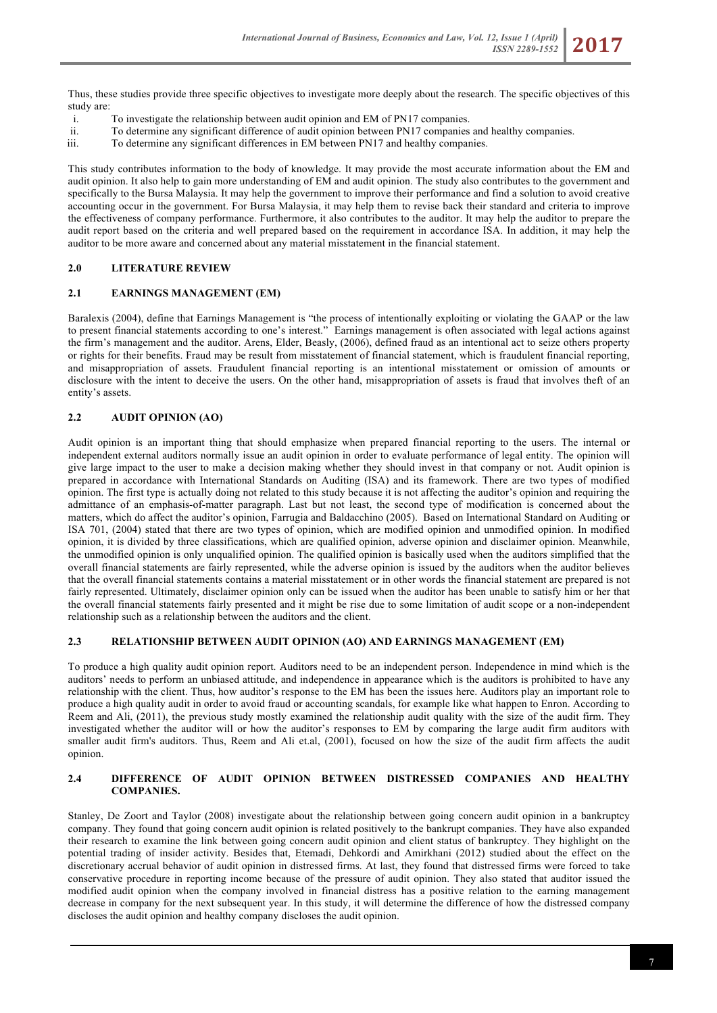Thus, these studies provide three specific objectives to investigate more deeply about the research. The specific objectives of this study are:

- i. To investigate the relationship between audit opinion and EM of PN17 companies.
- ii. To determine any significant difference of audit opinion between PN17 companies and healthy companies.
- iii. To determine any significant differences in EM between PN17 and healthy companies.

This study contributes information to the body of knowledge. It may provide the most accurate information about the EM and audit opinion. It also help to gain more understanding of EM and audit opinion. The study also contributes to the government and specifically to the Bursa Malaysia. It may help the government to improve their performance and find a solution to avoid creative accounting occur in the government. For Bursa Malaysia, it may help them to revise back their standard and criteria to improve the effectiveness of company performance. Furthermore, it also contributes to the auditor. It may help the auditor to prepare the audit report based on the criteria and well prepared based on the requirement in accordance ISA. In addition, it may help the auditor to be more aware and concerned about any material misstatement in the financial statement.

## **2.0 LITERATURE REVIEW**

### **2.1 EARNINGS MANAGEMENT (EM)**

Baralexis (2004), define that Earnings Management is "the process of intentionally exploiting or violating the GAAP or the law to present financial statements according to one's interest." Earnings management is often associated with legal actions against the firm's management and the auditor. Arens, Elder, Beasly, (2006), defined fraud as an intentional act to seize others property or rights for their benefits. Fraud may be result from misstatement of financial statement, which is fraudulent financial reporting, and misappropriation of assets. Fraudulent financial reporting is an intentional misstatement or omission of amounts or disclosure with the intent to deceive the users. On the other hand, misappropriation of assets is fraud that involves theft of an entity's assets.

### **2.2 AUDIT OPINION (AO)**

Audit opinion is an important thing that should emphasize when prepared financial reporting to the users. The internal or independent external auditors normally issue an audit opinion in order to evaluate performance of legal entity. The opinion will give large impact to the user to make a decision making whether they should invest in that company or not. Audit opinion is prepared in accordance with International Standards on Auditing (ISA) and its framework. There are two types of modified opinion. The first type is actually doing not related to this study because it is not affecting the auditor's opinion and requiring the admittance of an emphasis-of-matter paragraph. Last but not least, the second type of modification is concerned about the matters, which do affect the auditor's opinion, Farrugia and Baldacchino (2005). Based on International Standard on Auditing or ISA 701, (2004) stated that there are two types of opinion, which are modified opinion and unmodified opinion. In modified opinion, it is divided by three classifications, which are qualified opinion, adverse opinion and disclaimer opinion. Meanwhile, the unmodified opinion is only unqualified opinion. The qualified opinion is basically used when the auditors simplified that the overall financial statements are fairly represented, while the adverse opinion is issued by the auditors when the auditor believes that the overall financial statements contains a material misstatement or in other words the financial statement are prepared is not fairly represented. Ultimately, disclaimer opinion only can be issued when the auditor has been unable to satisfy him or her that the overall financial statements fairly presented and it might be rise due to some limitation of audit scope or a non-independent relationship such as a relationship between the auditors and the client.

### **2.3 RELATIONSHIP BETWEEN AUDIT OPINION (AO) AND EARNINGS MANAGEMENT (EM)**

To produce a high quality audit opinion report. Auditors need to be an independent person. Independence in mind which is the auditors' needs to perform an unbiased attitude, and independence in appearance which is the auditors is prohibited to have any relationship with the client. Thus, how auditor's response to the EM has been the issues here. Auditors play an important role to produce a high quality audit in order to avoid fraud or accounting scandals, for example like what happen to Enron. According to Reem and Ali, (2011), the previous study mostly examined the relationship audit quality with the size of the audit firm. They investigated whether the auditor will or how the auditor's responses to EM by comparing the large audit firm auditors with smaller audit firm's auditors. Thus, Reem and Ali et.al, (2001), focused on how the size of the audit firm affects the audit opinion.

### **2.4 DIFFERENCE OF AUDIT OPINION BETWEEN DISTRESSED COMPANIES AND HEALTHY COMPANIES.**

Stanley, De Zoort and Taylor (2008) investigate about the relationship between going concern audit opinion in a bankruptcy company. They found that going concern audit opinion is related positively to the bankrupt companies. They have also expanded their research to examine the link between going concern audit opinion and client status of bankruptcy. They highlight on the potential trading of insider activity. Besides that, Etemadi, Dehkordi and Amirkhani (2012) studied about the effect on the discretionary accrual behavior of audit opinion in distressed firms. At last, they found that distressed firms were forced to take conservative procedure in reporting income because of the pressure of audit opinion. They also stated that auditor issued the modified audit opinion when the company involved in financial distress has a positive relation to the earning management decrease in company for the next subsequent year. In this study, it will determine the difference of how the distressed company discloses the audit opinion and healthy company discloses the audit opinion.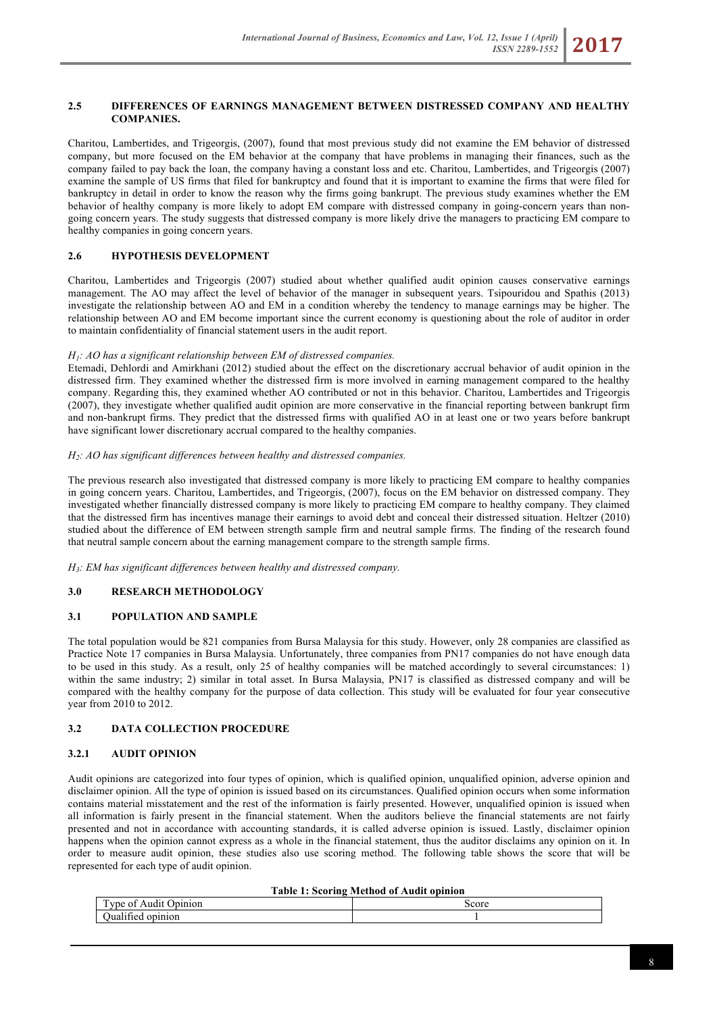### **2.5 DIFFERENCES OF EARNINGS MANAGEMENT BETWEEN DISTRESSED COMPANY AND HEALTHY COMPANIES.**

Charitou, Lambertides, and Trigeorgis, (2007), found that most previous study did not examine the EM behavior of distressed company, but more focused on the EM behavior at the company that have problems in managing their finances, such as the company failed to pay back the loan, the company having a constant loss and etc. Charitou, Lambertides, and Trigeorgis (2007) examine the sample of US firms that filed for bankruptcy and found that it is important to examine the firms that were filed for bankruptcy in detail in order to know the reason why the firms going bankrupt. The previous study examines whether the EM behavior of healthy company is more likely to adopt EM compare with distressed company in going-concern years than nongoing concern years. The study suggests that distressed company is more likely drive the managers to practicing EM compare to healthy companies in going concern years.

### **2.6 HYPOTHESIS DEVELOPMENT**

Charitou, Lambertides and Trigeorgis (2007) studied about whether qualified audit opinion causes conservative earnings management. The AO may affect the level of behavior of the manager in subsequent years. Tsipouridou and Spathis (2013) investigate the relationship between AO and EM in a condition whereby the tendency to manage earnings may be higher. The relationship between AO and EM become important since the current economy is questioning about the role of auditor in order to maintain confidentiality of financial statement users in the audit report.

## *H1: AO has a significant relationship between EM of distressed companies.*

Etemadi, Dehlordi and Amirkhani (2012) studied about the effect on the discretionary accrual behavior of audit opinion in the distressed firm. They examined whether the distressed firm is more involved in earning management compared to the healthy company. Regarding this, they examined whether AO contributed or not in this behavior. Charitou, Lambertides and Trigeorgis (2007), they investigate whether qualified audit opinion are more conservative in the financial reporting between bankrupt firm and non-bankrupt firms. They predict that the distressed firms with qualified AO in at least one or two years before bankrupt have significant lower discretionary accrual compared to the healthy companies.

### *H2: AO has significant differences between healthy and distressed companies.*

The previous research also investigated that distressed company is more likely to practicing EM compare to healthy companies in going concern years. Charitou, Lambertides, and Trigeorgis, (2007), focus on the EM behavior on distressed company. They investigated whether financially distressed company is more likely to practicing EM compare to healthy company. They claimed that the distressed firm has incentives manage their earnings to avoid debt and conceal their distressed situation. Heltzer (2010) studied about the difference of EM between strength sample firm and neutral sample firms. The finding of the research found that neutral sample concern about the earning management compare to the strength sample firms.

*H3: EM has significant differences between healthy and distressed company.*

## **3.0 RESEARCH METHODOLOGY**

## **3.1 POPULATION AND SAMPLE**

The total population would be 821 companies from Bursa Malaysia for this study. However, only 28 companies are classified as Practice Note 17 companies in Bursa Malaysia. Unfortunately, three companies from PN17 companies do not have enough data to be used in this study. As a result, only 25 of healthy companies will be matched accordingly to several circumstances: 1) within the same industry; 2) similar in total asset. In Bursa Malaysia, PN17 is classified as distressed company and will be compared with the healthy company for the purpose of data collection. This study will be evaluated for four year consecutive year from 2010 to 2012.

### **3.2 DATA COLLECTION PROCEDURE**

### **3.2.1 AUDIT OPINION**

Audit opinions are categorized into four types of opinion, which is qualified opinion, unqualified opinion, adverse opinion and disclaimer opinion. All the type of opinion is issued based on its circumstances. Qualified opinion occurs when some information contains material misstatement and the rest of the information is fairly presented. However, unqualified opinion is issued when all information is fairly present in the financial statement. When the auditors believe the financial statements are not fairly presented and not in accordance with accounting standards, it is called adverse opinion is issued. Lastly, disclaimer opinion happens when the opinion cannot express as a whole in the financial statement, thus the auditor disclaims any opinion on it. In order to measure audit opinion, these studies also use scoring method. The following table shows the score that will be represented for each type of audit opinion.

|  |  | Table 1: Scoring Method of Audit opinion |
|--|--|------------------------------------------|
|--|--|------------------------------------------|

| $\sim$<br>nıon<br><b>vne</b><br>$\Omega$<br>'' | score |
|------------------------------------------------|-------|
| .<br>opinion<br>Jua<br><b>.111e</b>            |       |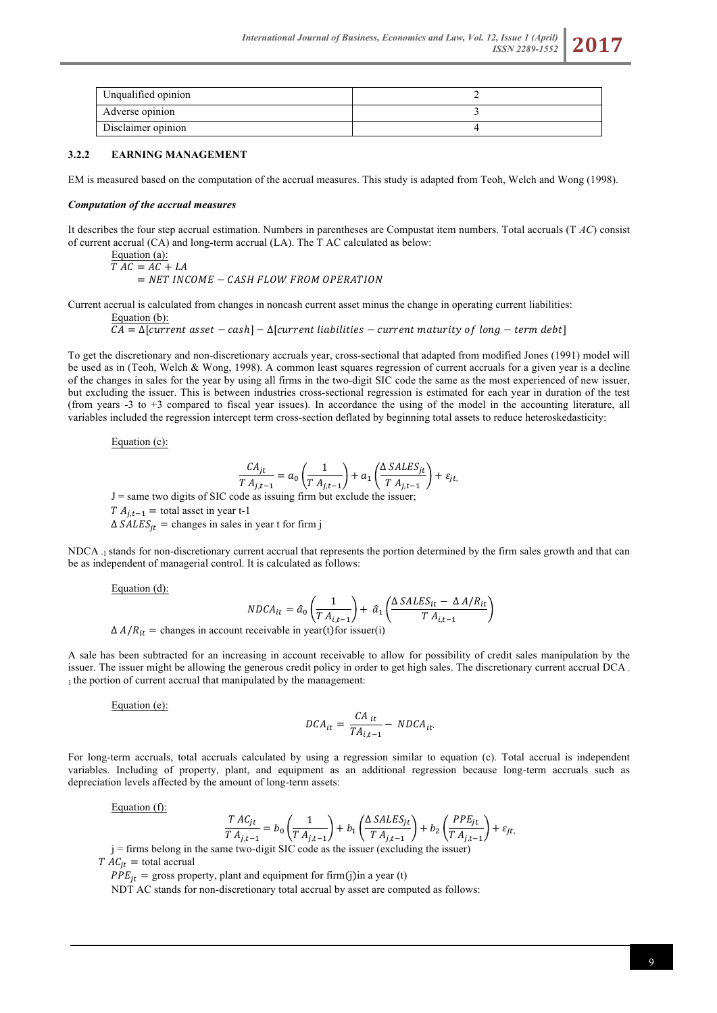

### **3.2.2 EARNING MANAGEMENT**

EM is measured based on the computation of the accrual measures. This study is adapted from Teoh, Welch and Wong (1998).

#### *Computation of the accrual measures*

It describes the four step accrual estimation. Numbers in parentheses are Compustat item numbers. Total accruals (T *AC*) consist of current accrual (CA) and long-term accrual (LA). The T AC calculated as below:

Equation (a):  
\n
$$
T AC = AC + LA
$$
  
\n=  $NET INCOME - CASH FLOW FROM OPERATION$ 

Current accrual is calculated from changes in noncash current asset minus the change in operating current liabilities:

Equation (b):

 $CA = \Delta$ [current asset – cash] –  $\Delta$ [current liabilities – current maturity of long – term debt]

To get the discretionary and non-discretionary accruals year, cross-sectional that adapted from modified Jones (1991) model will be used as in (Teoh, Welch & Wong, 1998). A common least squares regression of current accruals for a given year is a decline of the changes in sales for the year by using all firms in the two-digit SIC code the same as the most experienced of new issuer, but excluding the issuer. This is between industries cross-sectional regression is estimated for each year in duration of the test (from years -3 to +3 compared to fiscal year issues). In accordance the using of the model in the accounting literature, all variables included the regression intercept term cross-section deflated by beginning total assets to reduce heteroskedasticity:

Equation (c):

$$
\frac{CA_{jt}}{T A_{j,t-1}} = a_0 \left(\frac{1}{T A_{j,t-1}}\right) + a_1 \left(\frac{\Delta SALES_{jt}}{T A_{j,t-1}}\right) + \varepsilon_{jt},
$$

 $J =$ same two digits of SIC code as issuing firm but exclude the issuer;

 $T A_{i,t-1}$  = total asset in year t-1

 $\Delta SALES_{it}$  = changes in sales in year t for firm j

NDCA -1 stands for non-discretionary current accrual that represents the portion determined by the firm sales growth and that can be as independent of managerial control. It is calculated as follows:

Equation (d):

$$
NDCA_{it} = \hat{a}_0 \left(\frac{1}{T A_{i,t-1}}\right) + \hat{a}_1 \left(\frac{\Delta SALES_{it} - \Delta A/R_{it}}{T A_{i,t-1}}\right)
$$
  

$$
\Delta A/R_{it} = \text{changes in account receive} \text{table in year} \text{(t) for issuer} \text{(i)}
$$

A sale has been subtracted for an increasing in account receivable to allow for possibility of credit sales manipulation by the issuer. The issuer might be allowing the generous credit policy in order to get high sales. The discretionary current accrual DCA - 1 the portion of current accrual that manipulated by the management:

Equation (e):

$$
DCA_{it} = \frac{CA_{it}}{TA_{i,t-1}} - NDCA_{it}.
$$

For long-term accruals, total accruals calculated by using a regression similar to equation (c). Total accrual is independent variables. Including of property, plant, and equipment as an additional regression because long-term accruals such as depreciation levels affected by the amount of long-term assets:

Equation (f):

$$
\frac{TAC_{jt}}{T A_{j,t-1}} = b_0 \left(\frac{1}{T A_{j,t-1}}\right) + b_1 \left(\frac{\Delta SALES_{jt}}{T A_{j,t-1}}\right) + b_2 \left(\frac{PPE_{jt}}{T A_{j,t-1}}\right) + \varepsilon_{jt},
$$

j = firms belong in the same two-digit SIC code as the issuer (excluding the issuer)  $T \overline{AC}_{it}$  = total accrual

 $PPE_{it}$  = gross property, plant and equipment for firm (j) in a year (t)

NDT AC stands for non-discretionary total accrual by asset are computed as follows: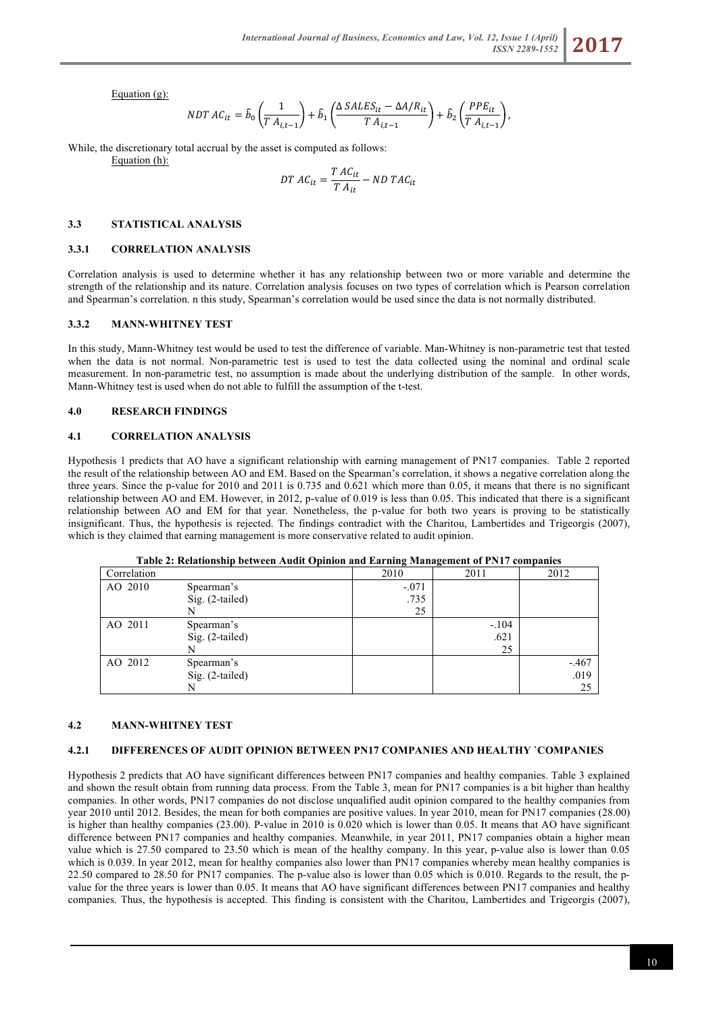Equation (g):

$$
NDTAC_{it} = \hat{b}_0 \left(\frac{1}{T A_{i,t-1}}\right) + \hat{b}_1 \left(\frac{\Delta SALES_{it} - \Delta A/R_{it}}{T A_{i,t-1}}\right) + \hat{b}_2 \left(\frac{PPE_{it}}{T A_{i,t-1}}\right),
$$

While, the discretionary total accrual by the asset is computed as follows: Equation (h):

$$
DT\ AC_{it} = \frac{T\ AC_{it}}{T\ A_{it}} - ND\ TAC_{it}
$$

#### **3.3 STATISTICAL ANALYSIS**

#### **3.3.1 CORRELATION ANALYSIS**

Correlation analysis is used to determine whether it has any relationship between two or more variable and determine the strength of the relationship and its nature. Correlation analysis focuses on two types of correlation which is Pearson correlation and Spearman's correlation. n this study, Spearman's correlation would be used since the data is not normally distributed.

#### **3.3.2 MANN-WHITNEY TEST**

In this study, Mann-Whitney test would be used to test the difference of variable. Man-Whitney is non-parametric test that tested when the data is not normal. Non-parametric test is used to test the data collected using the nominal and ordinal scale measurement. In non-parametric test, no assumption is made about the underlying distribution of the sample. In other words, Mann-Whitney test is used when do not able to fulfill the assumption of the t-test.

#### **4.0 RESEARCH FINDINGS**

#### **4.1 CORRELATION ANALYSIS**

Hypothesis 1 predicts that AO have a significant relationship with earning management of PN17 companies. Table 2 reported the result of the relationship between AO and EM. Based on the Spearman's correlation, it shows a negative correlation along the three years. Since the p-value for 2010 and 2011 is 0.735 and 0.621 which more than 0.05, it means that there is no significant relationship between AO and EM. However, in 2012, p-value of 0.019 is less than 0.05. This indicated that there is a significant relationship between AO and EM for that year. Nonetheless, the p-value for both two years is proving to be statistically insignificant. Thus, the hypothesis is rejected. The findings contradict with the Charitou, Lambertides and Trigeorgis (2007), which is they claimed that earning management is more conservative related to audit opinion.

#### **Table 2: Relationship between Audit Opinion and Earning Management of PN17 companies**

| Correlation |                 | 2010    | 2011    | 2012    |
|-------------|-----------------|---------|---------|---------|
| AO 2010     | Spearman's      | $-.071$ |         |         |
|             | Sig. (2-tailed) | .735    |         |         |
|             |                 | 25      |         |         |
| AO 2011     | Spearman's      |         | $-.104$ |         |
|             | Sig. (2-tailed) |         | .621    |         |
|             |                 |         | 25      |         |
| AO 2012     | Spearman's      |         |         | $-.467$ |
|             | Sig. (2-tailed) |         |         | .019    |
|             | N               |         |         | 25      |

#### **4.2 MANN-WHITNEY TEST**

#### **4.2.1 DIFFERENCES OF AUDIT OPINION BETWEEN PN17 COMPANIES AND HEALTHY `COMPANIES**

Hypothesis 2 predicts that AO have significant differences between PN17 companies and healthy companies. Table 3 explained and shown the result obtain from running data process. From the Table 3, mean for PN17 companies is a bit higher than healthy companies. In other words, PN17 companies do not disclose unqualified audit opinion compared to the healthy companies from year 2010 until 2012. Besides, the mean for both companies are positive values. In year 2010, mean for PN17 companies (28.00) is higher than healthy companies (23.00). P-value in 2010 is 0.020 which is lower than 0.05. It means that AO have significant difference between PN17 companies and healthy companies. Meanwhile, in year 2011, PN17 companies obtain a higher mean value which is 27.50 compared to 23.50 which is mean of the healthy company. In this year, p-value also is lower than 0.05 which is 0.039. In year 2012, mean for healthy companies also lower than PN17 companies whereby mean healthy companies is 22.50 compared to 28.50 for PN17 companies. The p-value also is lower than 0.05 which is 0.010. Regards to the result, the pvalue for the three years is lower than 0.05. It means that AO have significant differences between PN17 companies and healthy companies. Thus, the hypothesis is accepted. This finding is consistent with the Charitou, Lambertides and Trigeorgis (2007),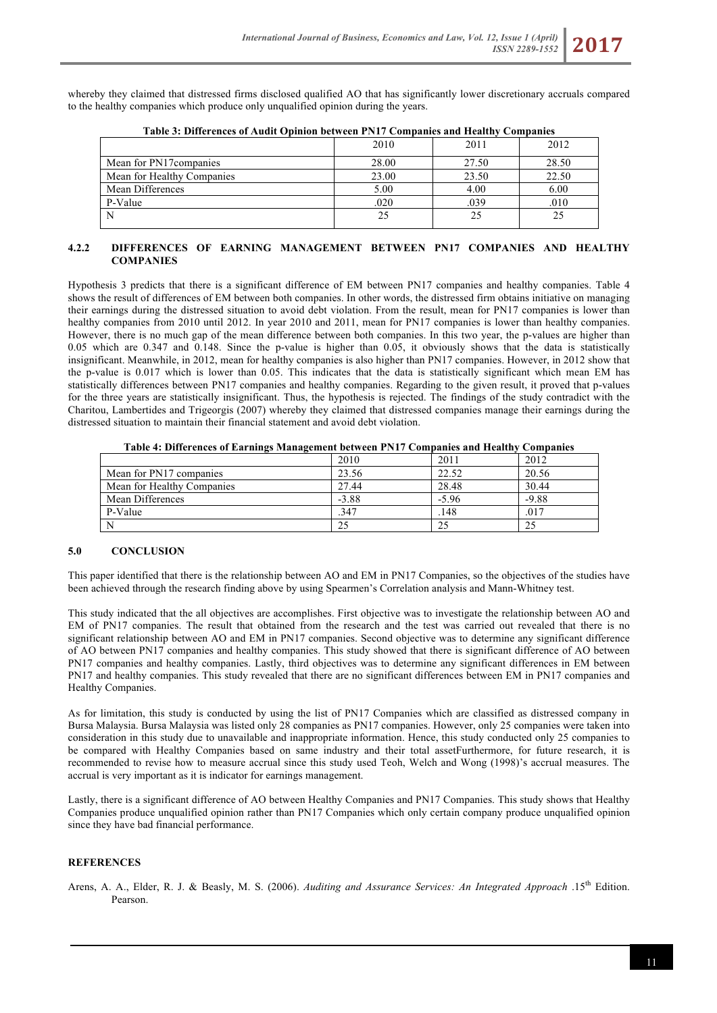whereby they claimed that distressed firms disclosed qualified AO that has significantly lower discretionary accruals compared to the healthy companies which produce only unqualified opinion during the years.

|                            | 2010  | 2011  | 2012  |
|----------------------------|-------|-------|-------|
| Mean for PN17 companies    | 28.00 | 27.50 | 28.50 |
| Mean for Healthy Companies | 23.00 | 23.50 | 22.50 |
| Mean Differences           | 5.00  | 4.00  | 6.00  |
| P-Value                    | .020  | .039  | .010  |
|                            | 25    | 25    |       |
|                            |       |       |       |

**Table 3: Differences of Audit Opinion between PN17 Companies and Healthy Companies**

## **4.2.2 DIFFERENCES OF EARNING MANAGEMENT BETWEEN PN17 COMPANIES AND HEALTHY COMPANIES**

Hypothesis 3 predicts that there is a significant difference of EM between PN17 companies and healthy companies. Table 4 shows the result of differences of EM between both companies. In other words, the distressed firm obtains initiative on managing their earnings during the distressed situation to avoid debt violation. From the result, mean for PN17 companies is lower than healthy companies from 2010 until 2012. In year 2010 and 2011, mean for PN17 companies is lower than healthy companies. However, there is no much gap of the mean difference between both companies. In this two year, the p-values are higher than 0.05 which are 0.347 and 0.148. Since the p-value is higher than 0.05, it obviously shows that the data is statistically insignificant. Meanwhile, in 2012, mean for healthy companies is also higher than PN17 companies. However, in 2012 show that the p-value is 0.017 which is lower than 0.05. This indicates that the data is statistically significant which mean EM has statistically differences between PN17 companies and healthy companies. Regarding to the given result, it proved that p-values for the three years are statistically insignificant. Thus, the hypothesis is rejected. The findings of the study contradict with the Charitou, Lambertides and Trigeorgis (2007) whereby they claimed that distressed companies manage their earnings during the distressed situation to maintain their financial statement and avoid debt violation.

| Twee if pure ences of Burning's brundle correction from the companies and frequently companies |         |         |         |
|------------------------------------------------------------------------------------------------|---------|---------|---------|
|                                                                                                | 2010    | 2011    | 2012    |
| Mean for PN17 companies                                                                        | 23.56   | 22.52   | 20.56   |
| Mean for Healthy Companies                                                                     | 27.44   | 28.48   | 30.44   |
| Mean Differences                                                                               | $-3.88$ | $-5.96$ | $-9.88$ |
| P-Value                                                                                        | .347    | .148    | .017    |
|                                                                                                | 25      | 25      | 25      |

**Table 4: Differences of Earnings Management between PN17 Companies and Healthy Companies**

## **5.0 CONCLUSION**

This paper identified that there is the relationship between AO and EM in PN17 Companies, so the objectives of the studies have been achieved through the research finding above by using Spearmen's Correlation analysis and Mann-Whitney test.

This study indicated that the all objectives are accomplishes. First objective was to investigate the relationship between AO and EM of PN17 companies. The result that obtained from the research and the test was carried out revealed that there is no significant relationship between AO and EM in PN17 companies. Second objective was to determine any significant difference of AO between PN17 companies and healthy companies. This study showed that there is significant difference of AO between PN17 companies and healthy companies. Lastly, third objectives was to determine any significant differences in EM between PN17 and healthy companies. This study revealed that there are no significant differences between EM in PN17 companies and Healthy Companies.

As for limitation, this study is conducted by using the list of PN17 Companies which are classified as distressed company in Bursa Malaysia. Bursa Malaysia was listed only 28 companies as PN17 companies. However, only 25 companies were taken into consideration in this study due to unavailable and inappropriate information. Hence, this study conducted only 25 companies to be compared with Healthy Companies based on same industry and their total assetFurthermore, for future research, it is recommended to revise how to measure accrual since this study used Teoh, Welch and Wong (1998)'s accrual measures. The accrual is very important as it is indicator for earnings management.

Lastly, there is a significant difference of AO between Healthy Companies and PN17 Companies. This study shows that Healthy Companies produce unqualified opinion rather than PN17 Companies which only certain company produce unqualified opinion since they have bad financial performance.

# **REFERENCES**

Arens, A. A., Elder, R. J. & Beasly, M. S. (2006). *Auditing and Assurance Services: An Integrated Approach* .15<sup>th</sup> Edition. Pearson.